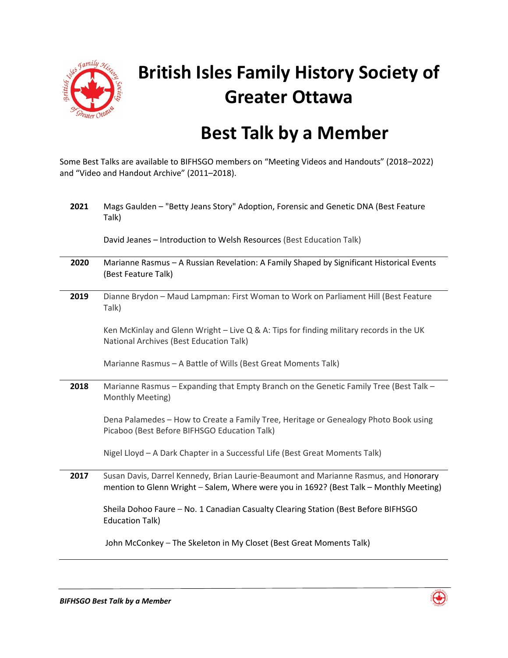

## **British Isles Family History Society of Greater Ottawa**

## **Best Talk by a Member**

Some Best Talks are available to BIFHSGO members on "Meeting Videos and Handouts" (2018–2022) and "Video and Handout Archive" (2011–2018).

| 2021 | Mags Gaulden - "Betty Jeans Story" Adoption, Forensic and Genetic DNA (Best Feature<br>Talk)                                                                                   |
|------|--------------------------------------------------------------------------------------------------------------------------------------------------------------------------------|
|      | David Jeanes - Introduction to Welsh Resources (Best Education Talk)                                                                                                           |
| 2020 | Marianne Rasmus - A Russian Revelation: A Family Shaped by Significant Historical Events<br>(Best Feature Talk)                                                                |
| 2019 | Dianne Brydon - Maud Lampman: First Woman to Work on Parliament Hill (Best Feature<br>Talk)                                                                                    |
|      | Ken McKinlay and Glenn Wright - Live Q & A: Tips for finding military records in the UK<br>National Archives (Best Education Talk)                                             |
|      | Marianne Rasmus - A Battle of Wills (Best Great Moments Talk)                                                                                                                  |
| 2018 | Marianne Rasmus - Expanding that Empty Branch on the Genetic Family Tree (Best Talk -<br>Monthly Meeting)                                                                      |
|      | Dena Palamedes - How to Create a Family Tree, Heritage or Genealogy Photo Book using<br>Picaboo (Best Before BIFHSGO Education Talk)                                           |
|      | Nigel Lloyd - A Dark Chapter in a Successful Life (Best Great Moments Talk)                                                                                                    |
| 2017 | Susan Davis, Darrel Kennedy, Brian Laurie-Beaumont and Marianne Rasmus, and Honorary<br>mention to Glenn Wright - Salem, Where were you in 1692? (Best Talk - Monthly Meeting) |
|      | Sheila Dohoo Faure - No. 1 Canadian Casualty Clearing Station (Best Before BIFHSGO<br><b>Education Talk)</b>                                                                   |
|      | John McConkey - The Skeleton in My Closet (Best Great Moments Talk)                                                                                                            |
|      |                                                                                                                                                                                |